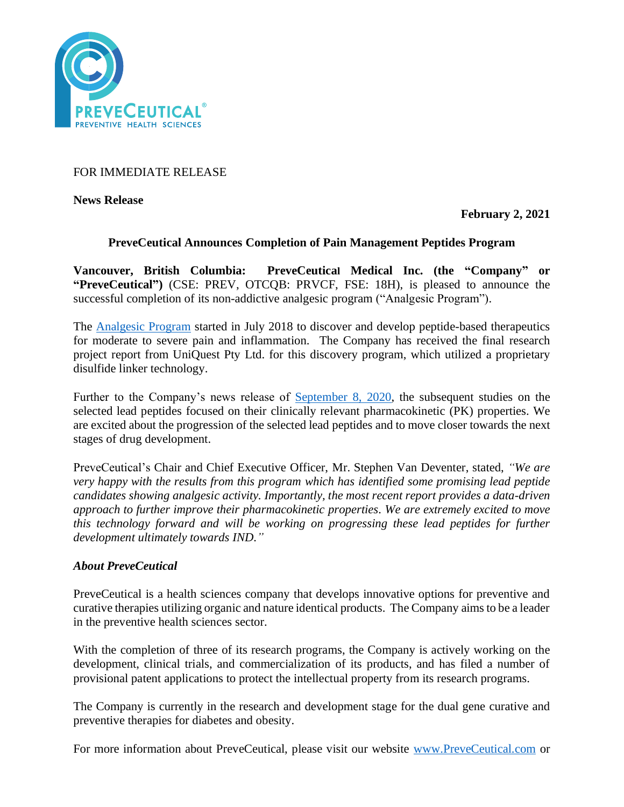

FOR IMMEDIATE RELEASE

**News Release** 

**February 2, 2021**

## **PreveCeutical Announces Completion of Pain Management Peptides Program**

**Vancouver, British Columbia: PreveCeutical Medical Inc. (the "Company" or "PreveCeutical")** (CSE: PREV, OTCQB: PRVCF, FSE: 18H), is pleased to announce the successful completion of its non-addictive analgesic program ("Analgesic Program").

The [Analgesic Program](https://www.preveceutical.com/pipeline/non-addictive-analgesic/) started in July 2018 to discover and develop peptide-based therapeutics for moderate to severe pain and inflammation. The Company has received the final research project report from UniQuest Pty Ltd. for this discovery program, which utilized a proprietary disulfide linker technology.

Further to the Company's news release of [September 8, 2020,](https://www.preveceutical.com/investors/news/preveceutical-provides-lead-pain-management-peptides-update-) the subsequent studies on the selected lead peptides focused on their clinically relevant pharmacokinetic (PK) properties. We are excited about the progression of the selected lead peptides and to move closer towards the next stages of drug development.

PreveCeutical's Chair and Chief Executive Officer, Mr. Stephen Van Deventer, stated, *"We are very happy with the results from this program which has identified some promising lead peptide candidates showing analgesic activity. Importantly, the most recent report provides a data-driven approach to further improve their pharmacokinetic properties. We are extremely excited to move this technology forward and will be working on progressing these lead peptides for further development ultimately towards IND."*

# *About PreveCeutical*

PreveCeutical is a health sciences company that develops innovative options for preventive and curative therapies utilizing organic and nature identical products. The Company aims to be a leader in the preventive health sciences sector.

With the completion of three of its research programs, the Company is actively working on the development, clinical trials, and commercialization of its products, and has filed a number of provisional patent applications to protect the intellectual property from its research programs.

The Company is currently in the research and development stage for the dual gene curative and preventive therapies for diabetes and obesity.

For more information about PreveCeutical, please visit our website [www.PreveCeutical.com](http://www.preveceutical.com/) or